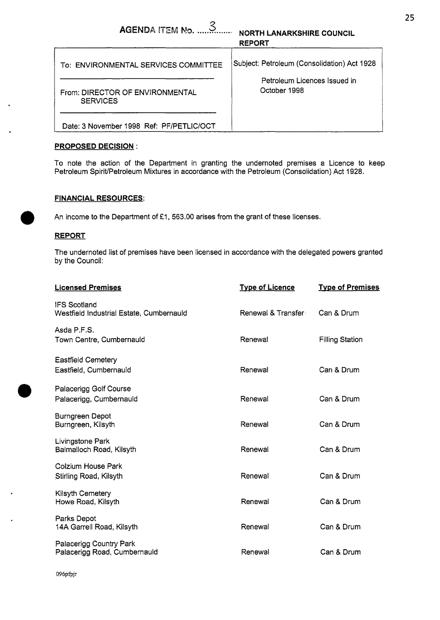| AGENDA ITEM No. $\ldots$ 3<br><b>NORTH LANARKSHIRE COUNCIL</b><br><b>REPORT</b> |                                                                                             |  |  |  |
|---------------------------------------------------------------------------------|---------------------------------------------------------------------------------------------|--|--|--|
| To: ENVIRONMENTAL SERVICES COMMITTEE<br>From: DIRECTOR OF ENVIRONMENTAL         | Subject: Petroleum (Consolidation) Act 1928<br>Petroleum Licences Issued in<br>October 1998 |  |  |  |
| <b>SERVICES</b><br>Date: 3 November 1998 Ref: PF/PETLIC/OCT                     |                                                                                             |  |  |  |

## **PROPOSED DECISION** :

To note the action of the Department in granting the undernoted premises a Licence to keep Petroleum Spirit/Petroleum Mixtures in accordance with the Petroleum (Consolidation) Act 1928.

## **FINANCIAL RESOURCES:**

An income to the Department of £1, 563.00 arises from the grant of these licenses.

## **REPORT**

The undernoted list of premises have been licensed in accordance with the delegated powers granted by the Council:

| <b>Licensed Premises</b>                                        | <b>Type of Licence</b> | <b>Type of Premises</b> |
|-----------------------------------------------------------------|------------------------|-------------------------|
| <b>IFS Scotland</b><br>Westfield Industrial Estate, Cumbernauld | Renewal & Transfer     | Can & Drum              |
| Asda P.F.S.<br>Town Centre, Cumbernauld                         | Renewal                | <b>Filling Station</b>  |
| <b>Eastfield Cemetery</b><br>Eastfield, Cumbernauld             | Renewal                | Can & Drum              |
| Palacerigg Golf Course<br>Palacerigg, Cumbernauld               | Renewal                | Can & Drum              |
| <b>Burngreen Depot</b><br>Burngreen, Kilsyth                    | Renewal                | Can & Drum              |
| Livingstone Park<br>Balmalloch Road, Kilsyth                    | Renewal                | Can & Drum              |
| Colzium House Park<br>Stirling Road, Kilsyth                    | Renewal                | Can & Drum              |
| Kilsyth Cemetery<br>Howe Road, Kilsyth                          | Renewal                | Can & Drum              |
| Parks Depot<br>14A Garrell Road, Kilsyth                        | Renewal                | Can & Drum              |
| Palacerigg Country Park<br>Palacerigg Road, Cumbernauld         | Renewal                | Can & Drum              |
|                                                                 |                        |                         |

096pfpjr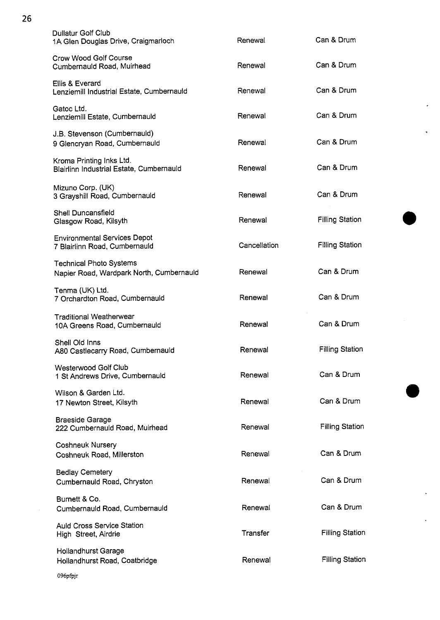| <b>Dullatur Golf Club</b><br>1A Glen Douglas Drive, Craigmarloch           | Renewal      | Can & Drum             |
|----------------------------------------------------------------------------|--------------|------------------------|
| Crow Wood Golf Course<br>Cumbernauld Road, Muirhead                        | Renewal      | Can & Drum             |
| Ellis & Everard<br>Lenziemill Industrial Estate, Cumbernauld               | Renewal      | Can & Drum             |
| Gatoc Ltd.<br>Lenziemili Estate, Cumbernauld                               | Renewal      | Can & Drum             |
| J.B. Stevenson (Cumbernauld)<br>9 Giencryan Road, Cumbernauld              | Renewal      | Can & Drum             |
| Kroma Printing Inks Ltd.<br>Blairlinn Industrial Estate, Cumbernauld       | Renewal      | Can & Drum             |
| Mizuno Corp. (UK)<br>3 Grayshill Road, Cumbernauld                         | Renewal      | Can & Drum             |
| Shell Duncansfield<br>Glasgow Road, Kilsyth                                | Renewal      | <b>Filling Station</b> |
| <b>Environmental Services Depot</b><br>7 Blairlinn Road, Cumbernauld       | Cancellation | <b>Filling Station</b> |
| <b>Technical Photo Systems</b><br>Napier Road, Wardpark North, Cumbernauld | Renewal      | Can & Drum             |
| Tenma (UK) Ltd.<br>7 Orchardton Road, Cumbernauld                          | Renewal      | Can & Drum             |
| <b>Traditional Weatherwear</b><br>10A Greens Road, Cumbernauld             | Renewal      | Can & Drum             |
| Shell Old Inns<br>A80 Castlecarry Road, Cumbernauld                        | Renewal      | <b>Filling Station</b> |
| Westerwood Golf Club<br>1 St Andrews Drive, Cumbernauld                    | Renewal      | Can & Drum             |
| Wilson & Garden Ltd.<br>17 Newton Street, Kilsyth                          | Renewal      | Can & Drum             |
| <b>Braeside Garage</b><br>222 Cumbernauld Road, Muirhead                   | Renewal      | <b>Filling Station</b> |
| <b>Coshneuk Nursery</b><br>Coshneuk Road, Millerston                       | Renewal      | Can & Drum             |
| <b>Bedlay Cemetery</b><br>Cumbernauld Road, Chryston                       | Renewal      | Can & Drum             |
| Burnett & Co.<br>Cumbernauld Road, Cumbernauld                             | Renewal      | Can & Drum             |
| <b>Auld Cross Service Station</b><br>High Street, Airdrie                  | Transfer     | <b>Filling Station</b> |
| <b>Hollandhurst Garage</b><br>Hollandhurst Road, Coatbridge                | Renewal      | <b>Filling Station</b> |
|                                                                            |              |                        |

 $\ddot{\phantom{0}}$ 

 $\ddot{\phantom{a}}$ 

 $\ddot{\phantom{0}}$ 

 $\mathbb{Z}^2$ 

**26** 

096pfpjr

 $\mathcal{A}^{\mathcal{A}}$